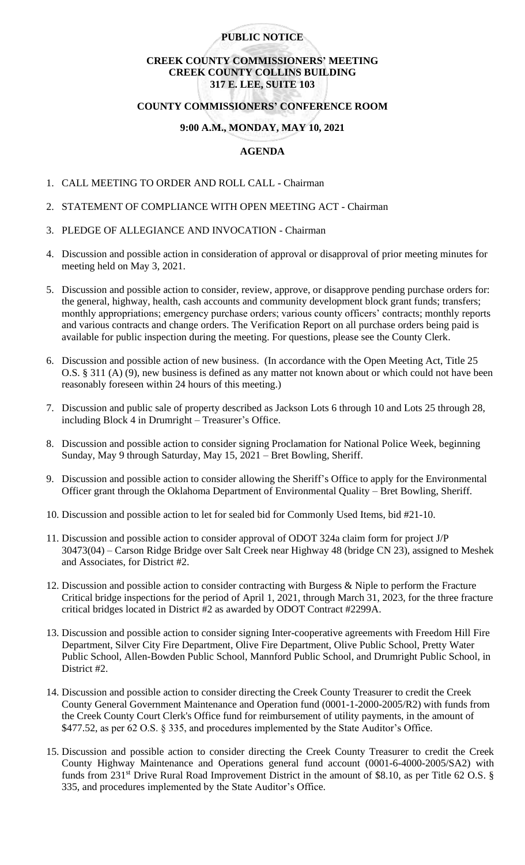## **PUBLIC NOTICE**

# **CREEK COUNTY COMMISSIONERS' MEETING CREEK COUNTY COLLINS BUILDING 317 E. LEE, SUITE 103**

# **COUNTY COMMISSIONERS' CONFERENCE ROOM**

## **9:00 A.M., MONDAY, MAY 10, 2021**

## **AGENDA**

- 1. CALL MEETING TO ORDER AND ROLL CALL Chairman
- 2. STATEMENT OF COMPLIANCE WITH OPEN MEETING ACT Chairman
- 3. PLEDGE OF ALLEGIANCE AND INVOCATION Chairman
- 4. Discussion and possible action in consideration of approval or disapproval of prior meeting minutes for meeting held on May 3, 2021.
- 5. Discussion and possible action to consider, review, approve, or disapprove pending purchase orders for: the general, highway, health, cash accounts and community development block grant funds; transfers; monthly appropriations; emergency purchase orders; various county officers' contracts; monthly reports and various contracts and change orders. The Verification Report on all purchase orders being paid is available for public inspection during the meeting. For questions, please see the County Clerk.
- 6. Discussion and possible action of new business. (In accordance with the Open Meeting Act, Title 25 O.S. § 311 (A) (9), new business is defined as any matter not known about or which could not have been reasonably foreseen within 24 hours of this meeting.)
- 7. Discussion and public sale of property described as Jackson Lots 6 through 10 and Lots 25 through 28, including Block 4 in Drumright – Treasurer's Office.
- 8. Discussion and possible action to consider signing Proclamation for National Police Week, beginning Sunday, May 9 through Saturday, May 15, 2021 – Bret Bowling, Sheriff.
- 9. Discussion and possible action to consider allowing the Sheriff's Office to apply for the Environmental Officer grant through the Oklahoma Department of Environmental Quality – Bret Bowling, Sheriff.
- 10. Discussion and possible action to let for sealed bid for Commonly Used Items, bid #21-10.
- 11. Discussion and possible action to consider approval of ODOT 324a claim form for project J/P 30473(04) – Carson Ridge Bridge over Salt Creek near Highway 48 (bridge CN 23), assigned to Meshek and Associates, for District #2.
- 12. Discussion and possible action to consider contracting with Burgess & Niple to perform the Fracture Critical bridge inspections for the period of April 1, 2021, through March 31, 2023, for the three fracture critical bridges located in District #2 as awarded by ODOT Contract #2299A.
- 13. Discussion and possible action to consider signing Inter-cooperative agreements with Freedom Hill Fire Department, Silver City Fire Department, Olive Fire Department, Olive Public School, Pretty Water Public School, Allen-Bowden Public School, Mannford Public School, and Drumright Public School, in District #2.
- 14. Discussion and possible action to consider directing the Creek County Treasurer to credit the Creek County General Government Maintenance and Operation fund (0001-1-2000-2005/R2) with funds from the Creek County Court Clerk's Office fund for reimbursement of utility payments, in the amount of \$477.52, as per 62 O.S. § 335, and procedures implemented by the State Auditor's Office.
- 15. Discussion and possible action to consider directing the Creek County Treasurer to credit the Creek County Highway Maintenance and Operations general fund account (0001-6-4000-2005/SA2) with funds from 231<sup>st</sup> Drive Rural Road Improvement District in the amount of \$8.10, as per Title 62 O.S. § 335, and procedures implemented by the State Auditor's Office.